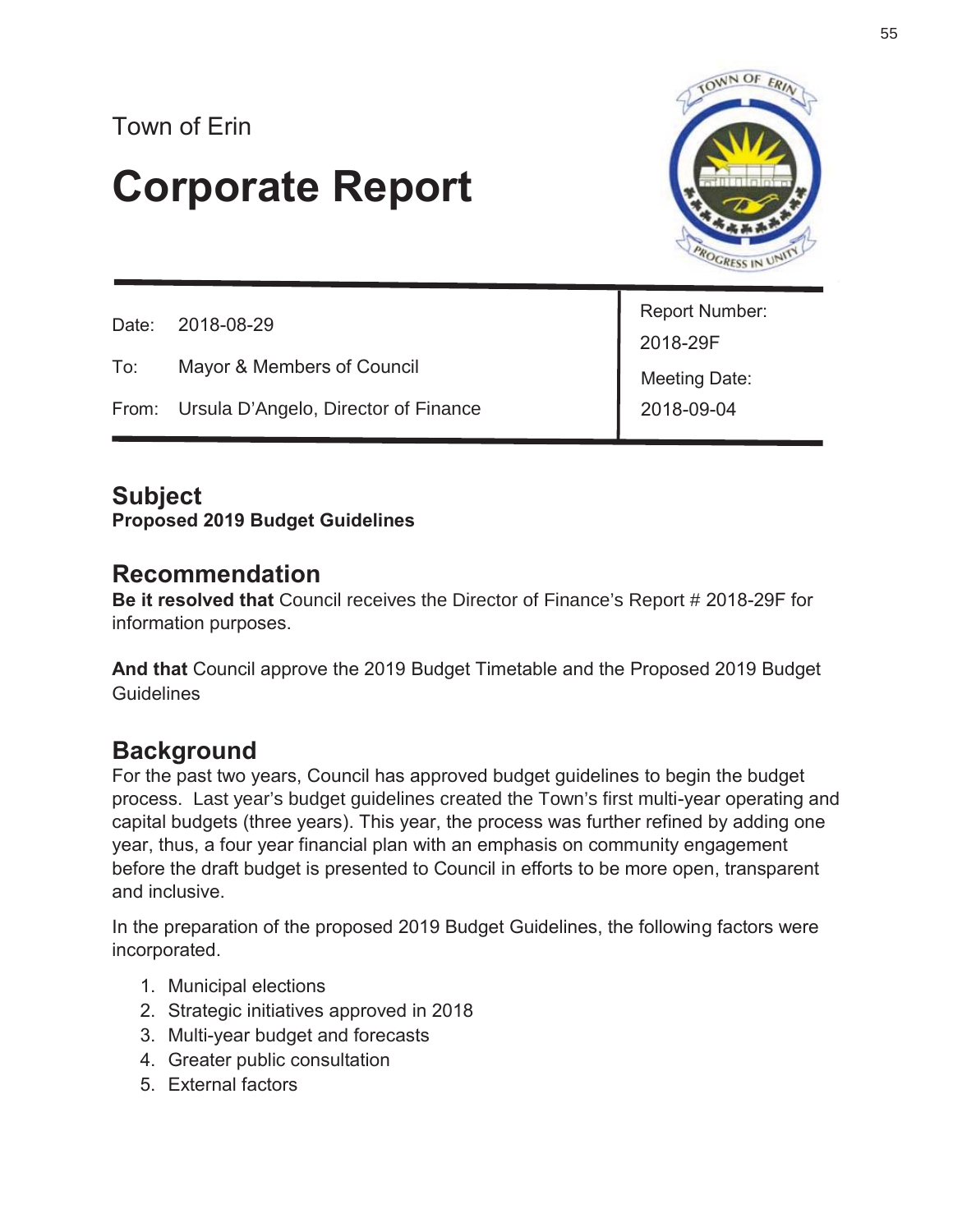# Town of Erin

# **Corporate Report**



|     | Date: 2018-08-29                           |                             |
|-----|--------------------------------------------|-----------------------------|
|     |                                            | Report Number:<br>2018-29F  |
| To: | Mayor & Members of Council                 | Meeting Date:<br>2018-09-04 |
|     | From: Ursula D'Angelo, Director of Finance |                             |

## **Subject**

**Proposed 2019 Budget Guidelines** 

## **Recommendation**

**Be it resolved that** Council receives the Director of Finance's Report # 2018-29F for information purposes.

**And that** Council approve the 2019 Budget Timetable and the Proposed 2019 Budget **Guidelines** 

## **Background**

For the past two years, Council has approved budget guidelines to begin the budget process. Last year's budget guidelines created the Town's first multi-year operating and capital budgets (three years). This year, the process was further refined by adding one year, thus, a four year financial plan with an emphasis on community engagement before the draft budget is presented to Council in efforts to be more open, transparent and inclusive.

In the preparation of the proposed 2019 Budget Guidelines, the following factors were incorporated.

- 1. Municipal elections
- 2. Strategic initiatives approved in 2018
- 3. Multi-year budget and forecasts
- 4. Greater public consultation
- 5. External factors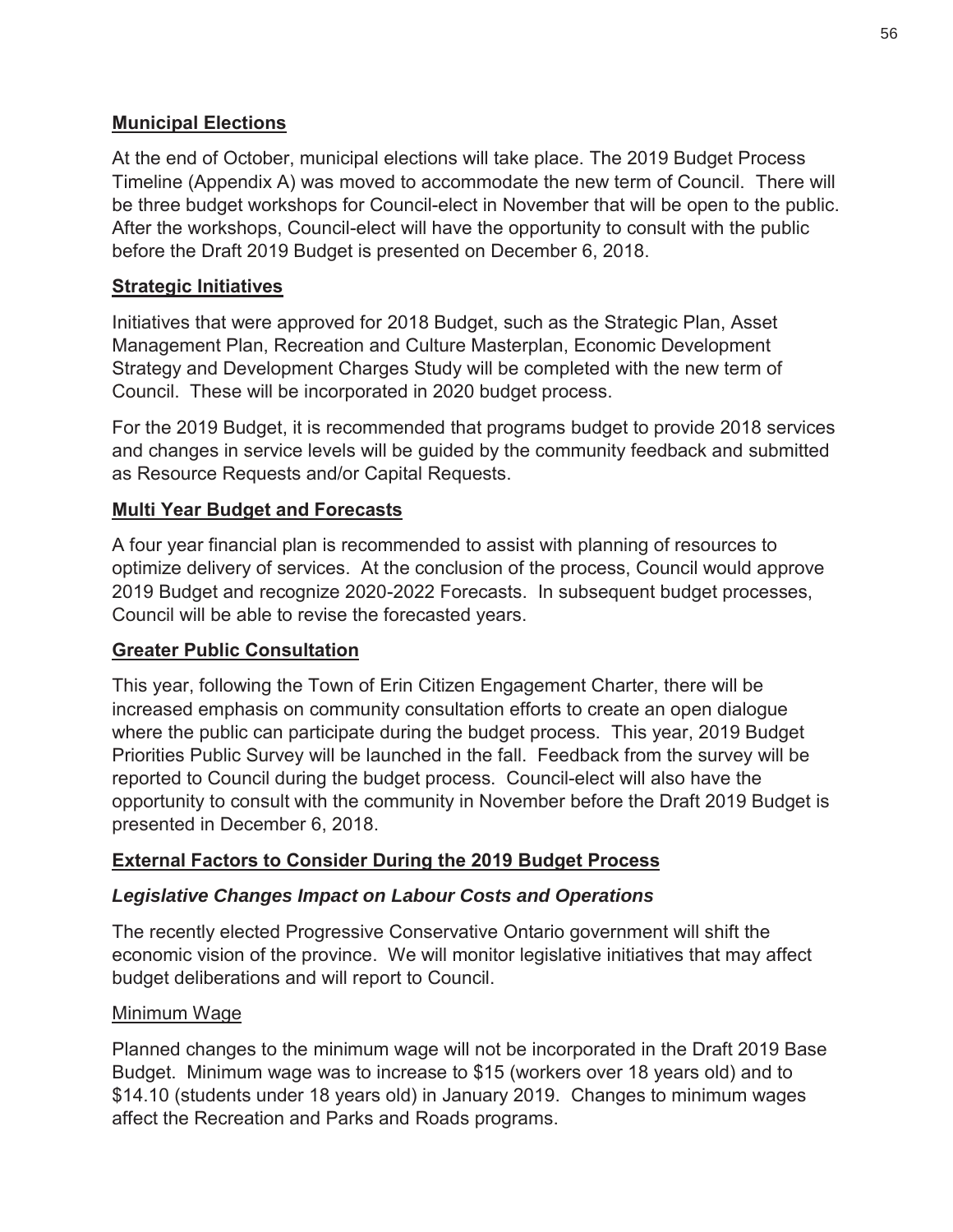#### **Municipal Elections**

At the end of October, municipal elections will take place. The 2019 Budget Process Timeline (Appendix A) was moved to accommodate the new term of Council. There will be three budget workshops for Council-elect in November that will be open to the public. After the workshops, Council-elect will have the opportunity to consult with the public before the Draft 2019 Budget is presented on December 6, 2018.

#### **Strategic Initiatives**

Initiatives that were approved for 2018 Budget, such as the Strategic Plan, Asset Management Plan, Recreation and Culture Masterplan, Economic Development Strategy and Development Charges Study will be completed with the new term of Council. These will be incorporated in 2020 budget process.

For the 2019 Budget, it is recommended that programs budget to provide 2018 services and changes in service levels will be guided by the community feedback and submitted as Resource Requests and/or Capital Requests.

#### **Multi Year Budget and Forecasts**

A four year financial plan is recommended to assist with planning of resources to optimize delivery of services. At the conclusion of the process, Council would approve 2019 Budget and recognize 2020-2022 Forecasts. In subsequent budget processes, Council will be able to revise the forecasted years.

#### **Greater Public Consultation**

This year, following the Town of Erin Citizen Engagement Charter, there will be increased emphasis on community consultation efforts to create an open dialogue where the public can participate during the budget process. This year, 2019 Budget Priorities Public Survey will be launched in the fall. Feedback from the survey will be reported to Council during the budget process. Council-elect will also have the opportunity to consult with the community in November before the Draft 2019 Budget is presented in December 6, 2018.

#### **External Factors to Consider During the 2019 Budget Process**

#### *Legislative Changes Impact on Labour Costs and Operations*

The recently elected Progressive Conservative Ontario government will shift the economic vision of the province. We will monitor legislative initiatives that may affect budget deliberations and will report to Council.

#### Minimum Wage

Planned changes to the minimum wage will not be incorporated in the Draft 2019 Base Budget. Minimum wage was to increase to \$15 (workers over 18 years old) and to \$14.10 (students under 18 years old) in January 2019. Changes to minimum wages affect the Recreation and Parks and Roads programs.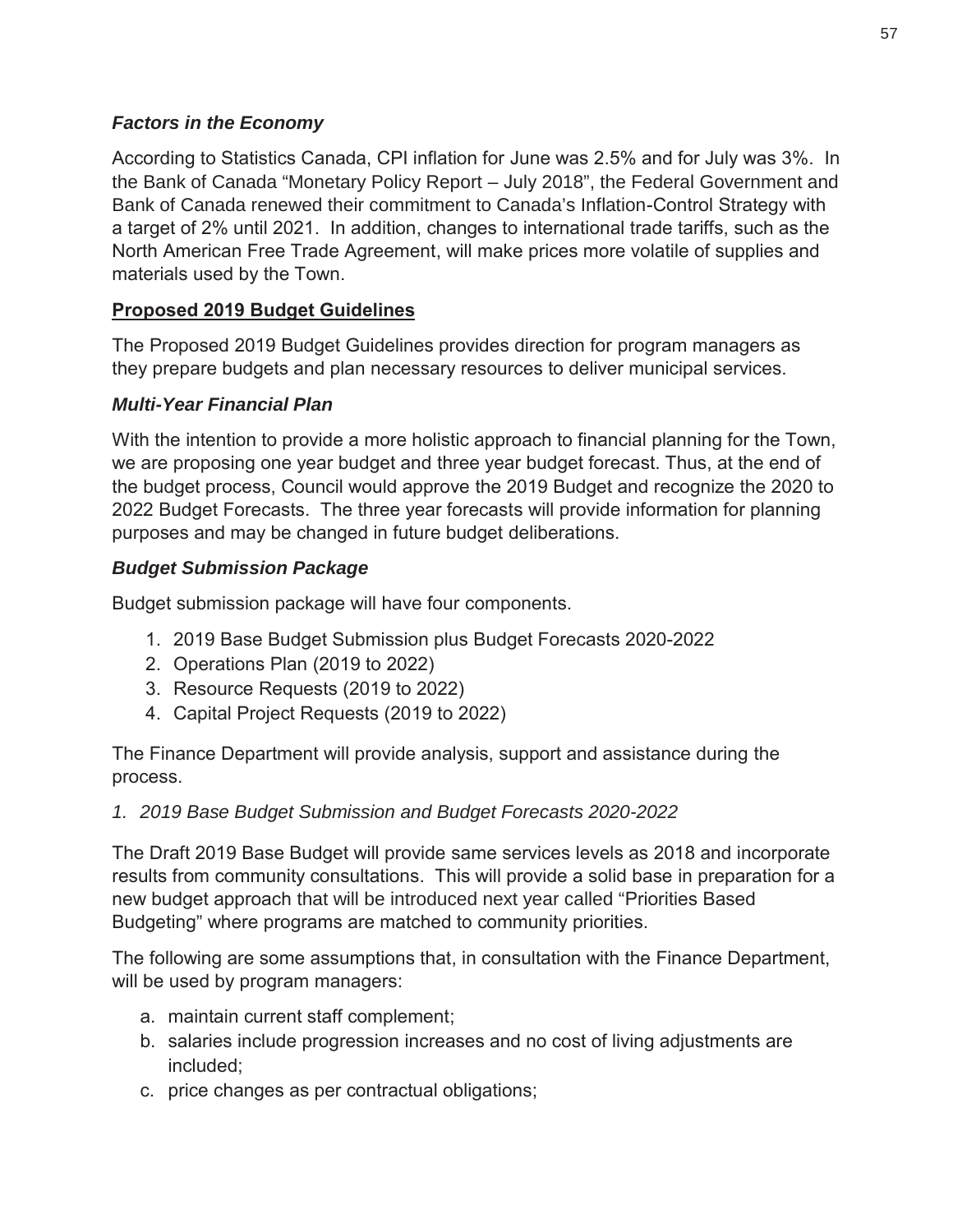#### *Factors in the Economy*

According to Statistics Canada, CPI inflation for June was 2.5% and for July was 3%. In the Bank of Canada "Monetary Policy Report – July 2018", the Federal Government and Bank of Canada renewed their commitment to Canada's Inflation-Control Strategy with a target of 2% until 2021. In addition, changes to international trade tariffs, such as the North American Free Trade Agreement, will make prices more volatile of supplies and materials used by the Town.

#### **Proposed 2019 Budget Guidelines**

The Proposed 2019 Budget Guidelines provides direction for program managers as they prepare budgets and plan necessary resources to deliver municipal services.

## *Multi-Year Financial Plan*

With the intention to provide a more holistic approach to financial planning for the Town, we are proposing one year budget and three year budget forecast. Thus, at the end of the budget process, Council would approve the 2019 Budget and recognize the 2020 to 2022 Budget Forecasts. The three year forecasts will provide information for planning purposes and may be changed in future budget deliberations.

#### *Budget Submission Package*

Budget submission package will have four components.

- 1. 2019 Base Budget Submission plus Budget Forecasts 2020-2022
- 2. Operations Plan (2019 to 2022)
- 3. Resource Requests (2019 to 2022)
- 4. Capital Project Requests (2019 to 2022)

The Finance Department will provide analysis, support and assistance during the process.

*1. 2019 Base Budget Submission and Budget Forecasts 2020-2022* 

The Draft 2019 Base Budget will provide same services levels as 2018 and incorporate results from community consultations. This will provide a solid base in preparation for a new budget approach that will be introduced next year called "Priorities Based Budgeting" where programs are matched to community priorities.

The following are some assumptions that, in consultation with the Finance Department, will be used by program managers:

- a. maintain current staff complement;
- b. salaries include progression increases and no cost of living adjustments are included;
- c. price changes as per contractual obligations;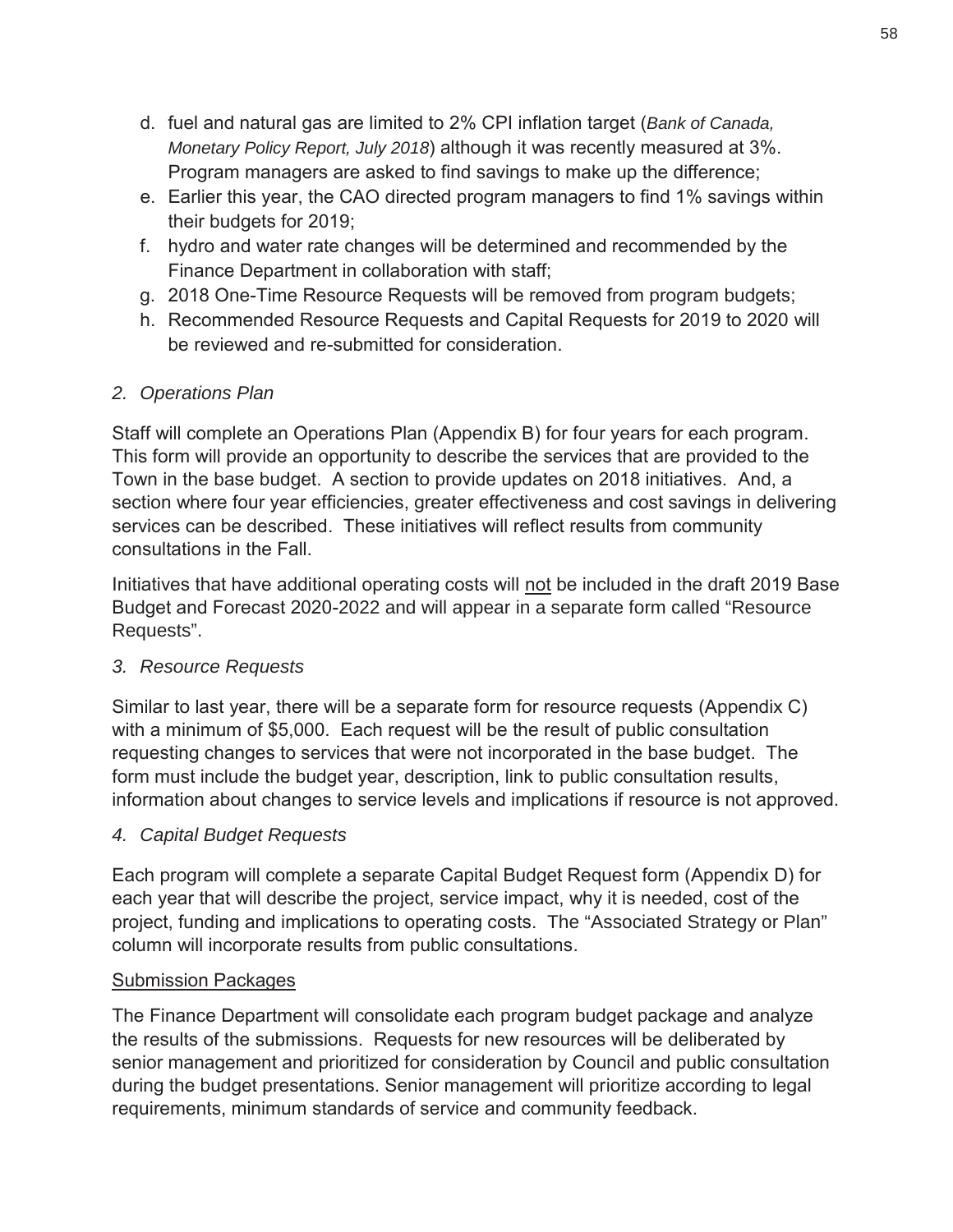- d. fuel and natural gas are limited to 2% CPI inflation target (*Bank of Canada, Monetary Policy Report, July 2018*) although it was recently measured at 3%. Program managers are asked to find savings to make up the difference;
- e. Earlier this year, the CAO directed program managers to find 1% savings within their budgets for 2019;
- f. hydro and water rate changes will be determined and recommended by the Finance Department in collaboration with staff;
- g. 2018 One-Time Resource Requests will be removed from program budgets;
- h. Recommended Resource Requests and Capital Requests for 2019 to 2020 will be reviewed and re-submitted for consideration.

## *2. Operations Plan*

Staff will complete an Operations Plan (Appendix B) for four years for each program. This form will provide an opportunity to describe the services that are provided to the Town in the base budget. A section to provide updates on 2018 initiatives. And, a section where four year efficiencies, greater effectiveness and cost savings in delivering services can be described. These initiatives will reflect results from community consultations in the Fall.

Initiatives that have additional operating costs will not be included in the draft 2019 Base Budget and Forecast 2020-2022 and will appear in a separate form called "Resource Requests".

## *3. Resource Requests*

Similar to last year, there will be a separate form for resource requests (Appendix C) with a minimum of \$5,000. Each request will be the result of public consultation requesting changes to services that were not incorporated in the base budget. The form must include the budget year, description, link to public consultation results, information about changes to service levels and implications if resource is not approved.

## *4. Capital Budget Requests*

Each program will complete a separate Capital Budget Request form (Appendix D) for each year that will describe the project, service impact, why it is needed, cost of the project, funding and implications to operating costs. The "Associated Strategy or Plan" column will incorporate results from public consultations.

## Submission Packages

The Finance Department will consolidate each program budget package and analyze the results of the submissions. Requests for new resources will be deliberated by senior management and prioritized for consideration by Council and public consultation during the budget presentations. Senior management will prioritize according to legal requirements, minimum standards of service and community feedback.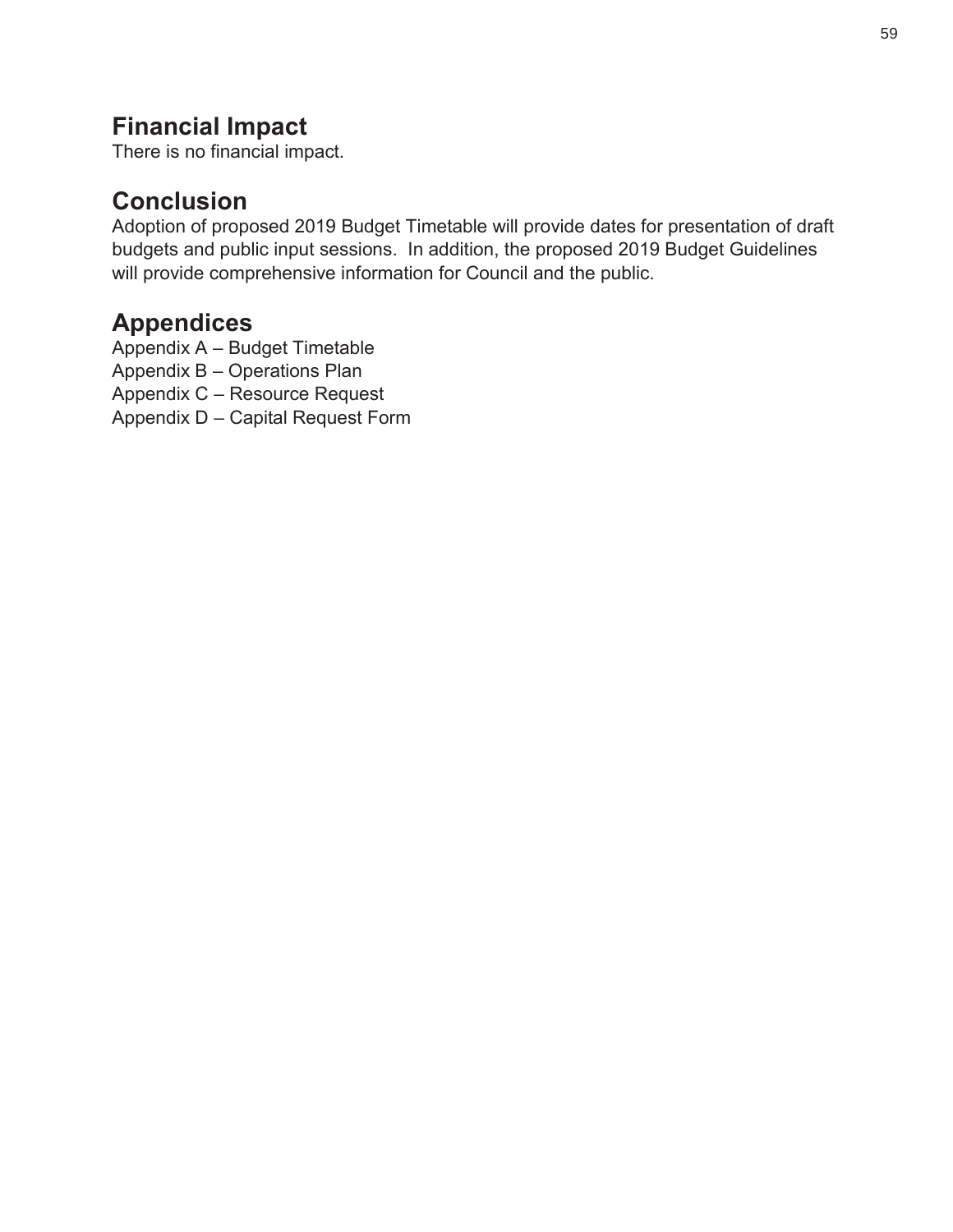## **Financial Impact**

There is no financial impact.

## **Conclusion**

Adoption of proposed 2019 Budget Timetable will provide dates for presentation of draft budgets and public input sessions. In addition, the proposed 2019 Budget Guidelines will provide comprehensive information for Council and the public.

## **Appendices**

Appendix A – Budget Timetable

Appendix B – Operations Plan

Appendix C – Resource Request

Appendix D – Capital Request Form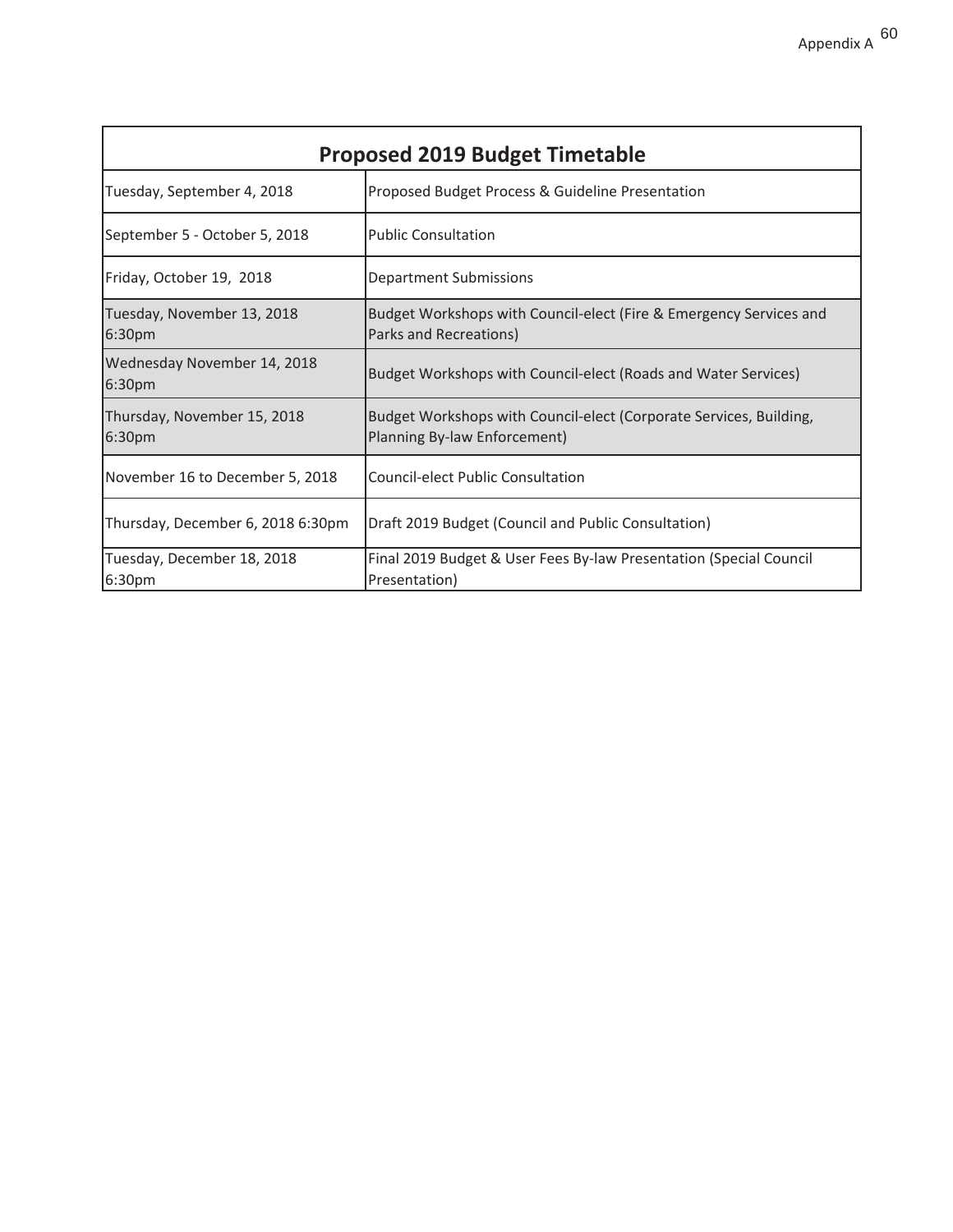| <b>Proposed 2019 Budget Timetable</b> |                                                                                                    |  |  |
|---------------------------------------|----------------------------------------------------------------------------------------------------|--|--|
| Tuesday, September 4, 2018            | Proposed Budget Process & Guideline Presentation                                                   |  |  |
| September 5 - October 5, 2018         | <b>Public Consultation</b>                                                                         |  |  |
| Friday, October 19, 2018              | Department Submissions                                                                             |  |  |
| Tuesday, November 13, 2018<br>6:30pm  | Budget Workshops with Council-elect (Fire & Emergency Services and<br>Parks and Recreations)       |  |  |
| Wednesday November 14, 2018<br>6:30pm | Budget Workshops with Council-elect (Roads and Water Services)                                     |  |  |
| Thursday, November 15, 2018<br>6:30pm | Budget Workshops with Council-elect (Corporate Services, Building,<br>Planning By-law Enforcement) |  |  |
| November 16 to December 5, 2018       | <b>Council-elect Public Consultation</b>                                                           |  |  |
| Thursday, December 6, 2018 6:30pm     | Draft 2019 Budget (Council and Public Consultation)                                                |  |  |
| Tuesday, December 18, 2018<br>6:30pm  | Final 2019 Budget & User Fees By-law Presentation (Special Council<br>Presentation)                |  |  |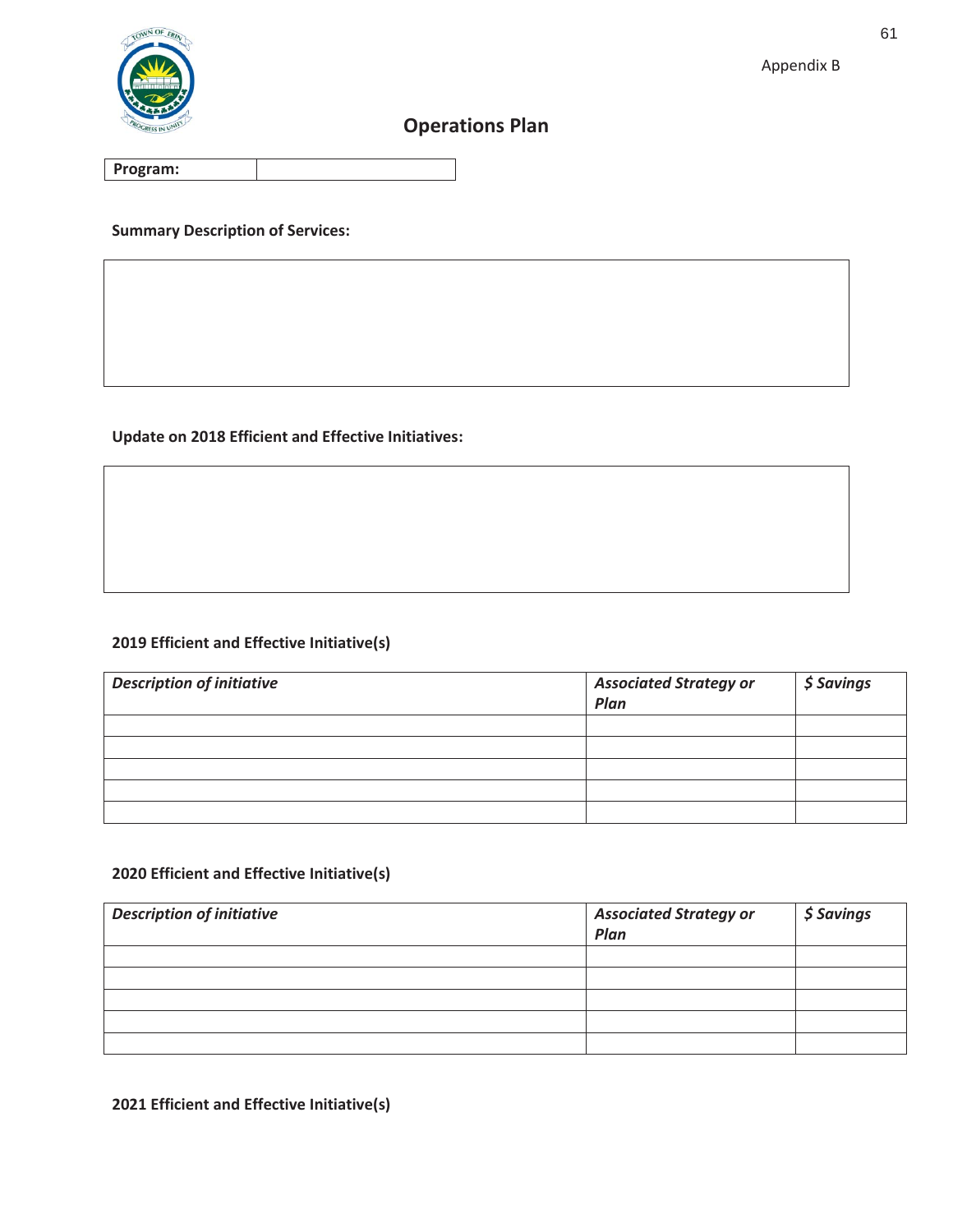

## **Operations Plan**

**Program:** 

**Summary Description of Services:** 

#### **Update on 2018 Efficient and Effective Initiatives:**

#### **2019 Efficient and Effective Initiative(s)**

| <b>Description of initiative</b> | <b>Associated Strategy or</b><br>Plan | \$ Savings |
|----------------------------------|---------------------------------------|------------|
|                                  |                                       |            |
|                                  |                                       |            |
|                                  |                                       |            |
|                                  |                                       |            |
|                                  |                                       |            |

#### **2020 Efficient and Effective Initiative(s)**

| <b>Description of initiative</b> | <b>Associated Strategy or</b><br>Plan | \$ Savings |
|----------------------------------|---------------------------------------|------------|
|                                  |                                       |            |
|                                  |                                       |            |
|                                  |                                       |            |
|                                  |                                       |            |
|                                  |                                       |            |

#### **2021 Efficient and Effective Initiative(s)**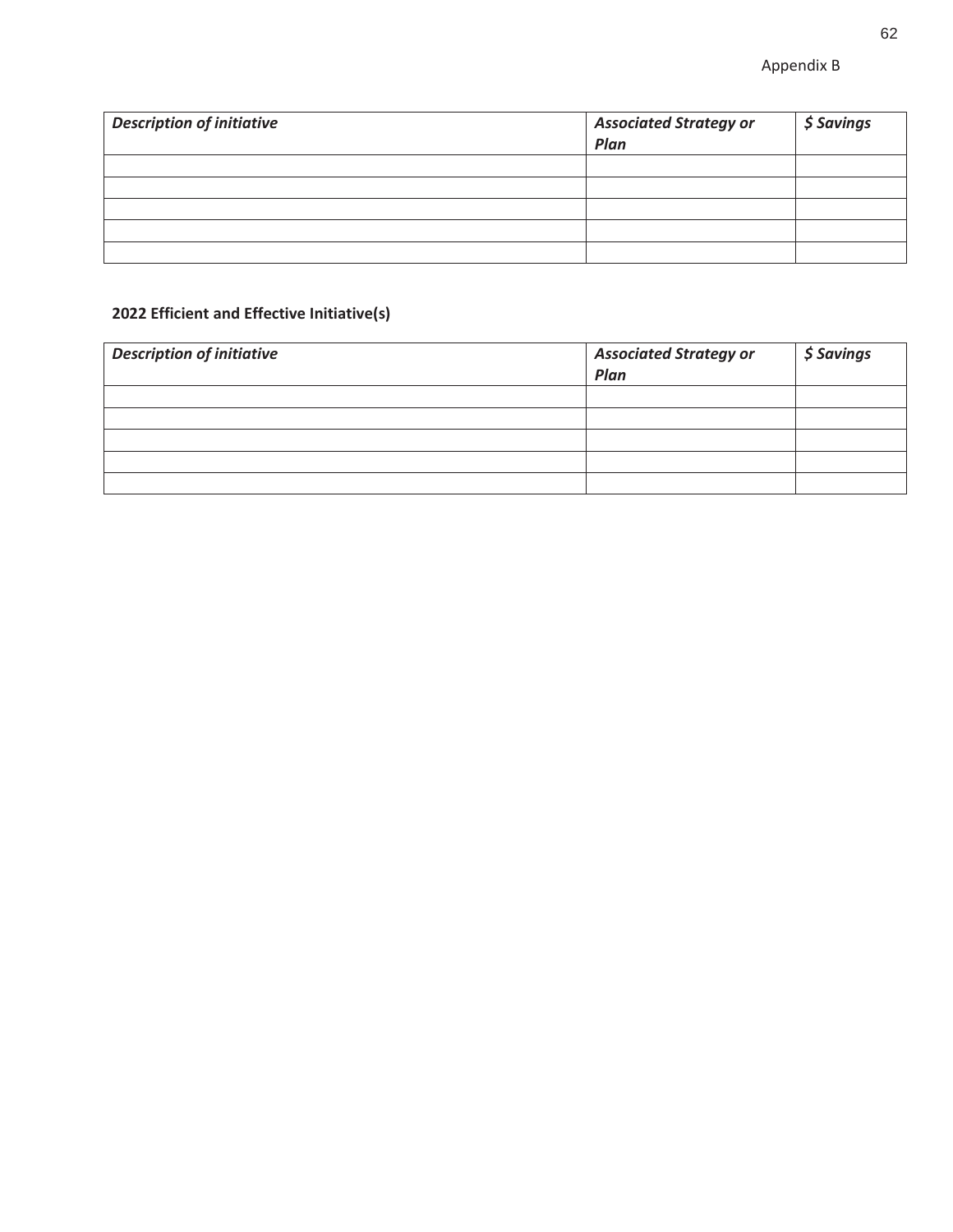| <b>Description of initiative</b> | <b>Associated Strategy or</b><br>Plan | \$ Savings |
|----------------------------------|---------------------------------------|------------|
|                                  |                                       |            |
|                                  |                                       |            |
|                                  |                                       |            |
|                                  |                                       |            |
|                                  |                                       |            |

#### **2022 Efficient and Effective Initiative(s)**

| <b>Description of initiative</b> | <b>Associated Strategy or</b><br>Plan | $\frac{1}{2}$ Savings |
|----------------------------------|---------------------------------------|-----------------------|
|                                  |                                       |                       |
|                                  |                                       |                       |
|                                  |                                       |                       |
|                                  |                                       |                       |
|                                  |                                       |                       |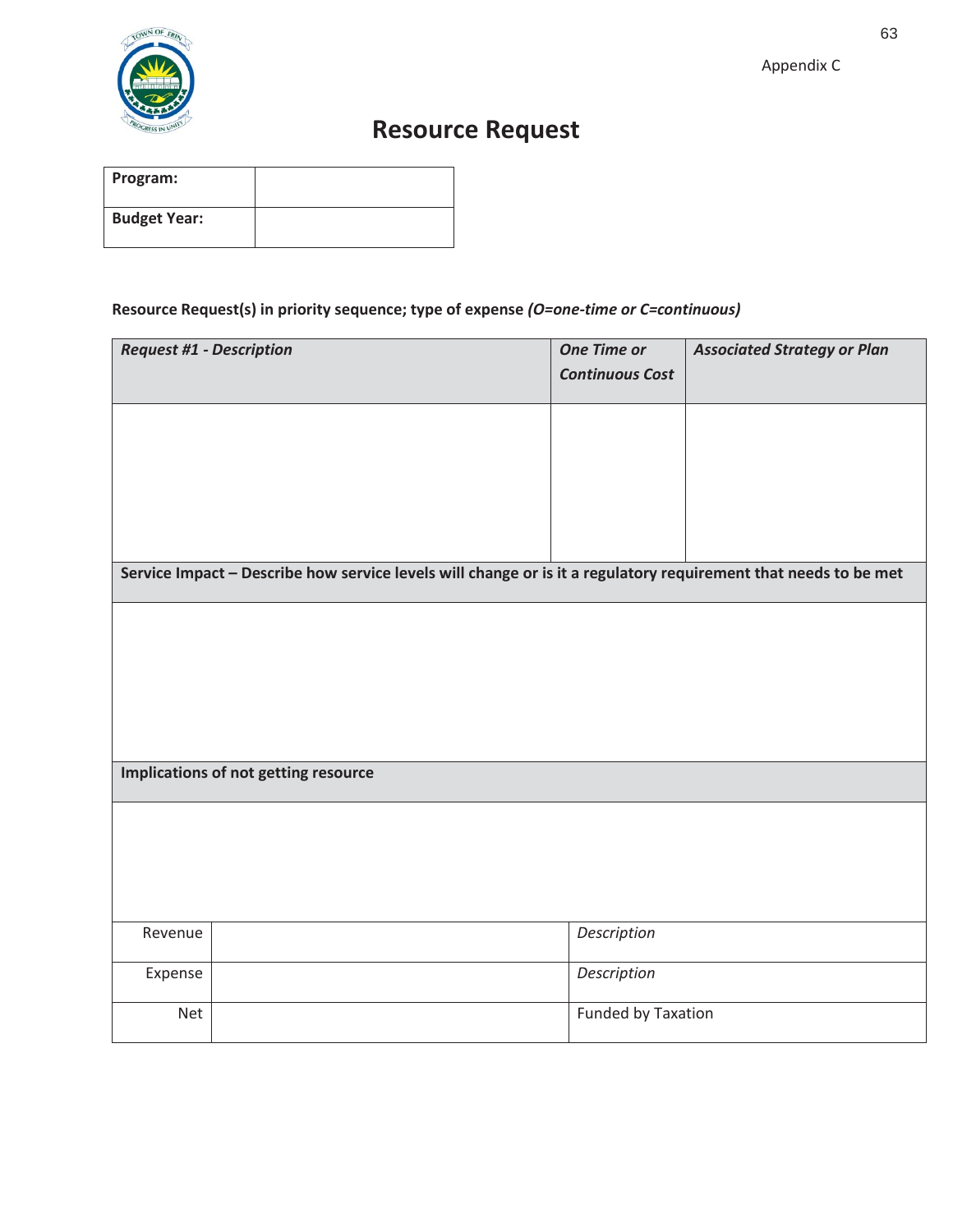

# **Resource Request**

| Program:            |  |
|---------------------|--|
| <b>Budget Year:</b> |  |

#### **Resource Request(s) in priority sequence; type of expense** *(O=one-time or C=continuous)*

| <b>Request #1 - Description</b> |                                                                                                                 | <b>One Time or</b><br><b>Continuous Cost</b> | <b>Associated Strategy or Plan</b> |
|---------------------------------|-----------------------------------------------------------------------------------------------------------------|----------------------------------------------|------------------------------------|
|                                 |                                                                                                                 |                                              |                                    |
|                                 |                                                                                                                 |                                              |                                    |
|                                 | Service Impact - Describe how service levels will change or is it a regulatory requirement that needs to be met |                                              |                                    |
|                                 |                                                                                                                 |                                              |                                    |
|                                 |                                                                                                                 |                                              |                                    |
|                                 | Implications of not getting resource                                                                            |                                              |                                    |
|                                 |                                                                                                                 |                                              |                                    |
| Revenue                         |                                                                                                                 | Description                                  |                                    |
| Expense                         |                                                                                                                 | Description                                  |                                    |
| Net                             |                                                                                                                 | Funded by Taxation                           |                                    |